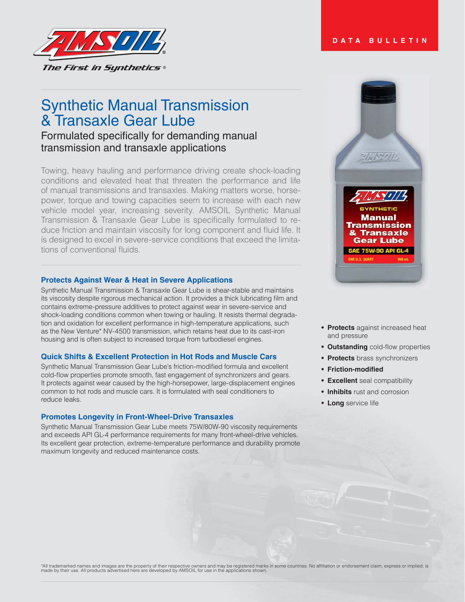

# Synthetic Manual Transmission & Transaxle Gear Lube

# Formulated specifically for demanding manual transmission and transaxle applications

Towing, heavy hauling and performance driving create shock-loading conditions and elevated heat that threaten the performance and life of manual transmissions and transaxles. Making matters worse, horsepower, torque and towing capacities seem to increase with each new vehicle model year, increasing severity. AMSOIL Synthetic Manual Transmission & Transaxle Gear Lube is specifically formulated to reduce friction and maintain viscosity for long component and fluid life. It is designed to excel in severe-service conditions that exceed the limitations of conventional fluids.

# **Protects Against Wear & Heat in Severe Applications**

Synthetic Manual Transmission & Transaxle Gear Lube is shear-stable and maintains its viscosity despite rigorous mechanical action. It provides a thick lubricating film and contains extreme-pressure additives to protect against wear in severe-service and shock-loading conditions common when towing or hauling. It resists thermal degradation and oxidation for excellent performance in high-temperature applications, such as the New Venture\* NV-4500 transmission, which retains heat due to its cast-iron housing and is often subject to increased torque from turbodiesel engines.

# **Quick Shifts & Excellent Protection in Hot Rods and Muscle Cars**

Synthetic Manual Transmission Gear Lube's friction-modified formula and excellent cold-flow properties promote smooth, fast engagement of synchronizers and gears. It protects against wear caused by the high-horsepower, large-displacement engines common to hot rods and muscle cars. It is formulated with seal conditioners to reduce leaks.

#### **Promotes Longevity in Front-Wheel-Drive Transaxles**

Synthetic Manual Transmission Gear Lube meets 75W/80W-90 viscosity requirements and exceeds API GL-4 performance requirements for many front-wheel-drive vehicles. Its excellent gear protection, extreme-temperature performance and durability promote maximum longevity and reduced maintenance costs.



**DATA BULLETIN**

- **Protects** against increased heat and pressure
- **Outstanding** cold-flow properties
- **Protects** brass synchronizers
- **Friction-modified**
- **Excellent** seal compatibility
- **Inhibits** rust and corrosion
- **Long** service life

\*All trademarked names and images are the property of their respective owners and may be registered marks in some countries. No affiliation or endorsement claim, express or implied, is<br>made by their use. All products adver